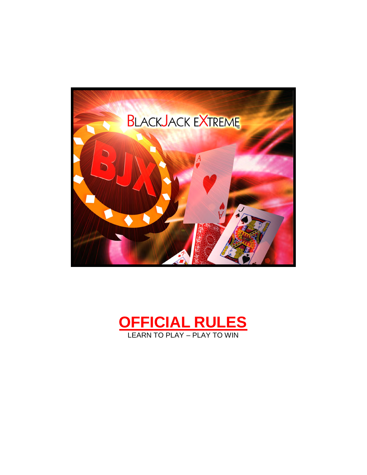

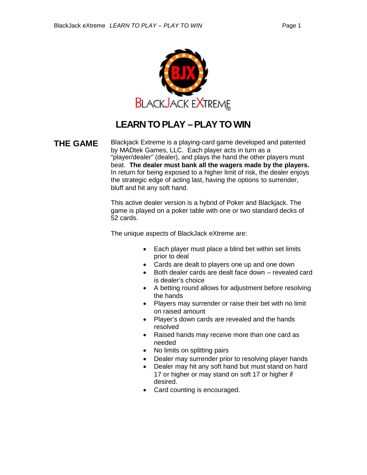

## **LEARN TO PLAY –PLAY TO WIN**

**THE GAME** Blackjack Extreme is a playing-card game developed and patented by MADtek Games, LLC. Each player acts in turn as a "player/dealer" (dealer), and plays the hand the other players must beat. **The dealer must bank all the wagers made by the players.** In return for being exposed to a higher limit of risk, the dealer enjoys the strategic edge of acting last, having the options to surrender, bluff and hit any soft hand.

> This active dealer version is a hybrid of Poker and Blackjack. The game is played on a poker table with one or two standard decks of 52 cards.

The unique aspects of BlackJack eXtreme are:

- Each player must place a blind bet within set limits prior to deal
- Cards are dealt to players one up and one down
- Both dealer cards are dealt face down revealed card is dealer's choice
- A betting round allows for adjustment before resolving the hands
- Players may surrender or raise their bet with no limit on raised amount
- Player's down cards are revealed and the hands resolved
- Raised hands may receive more than one card as needed
- No limits on splitting pairs
- Dealer may surrender prior to resolving player hands
- Dealer may hit any soft hand but must stand on hard 17 or higher or may stand on soft 17 or higher if desired.
- Card counting is encouraged.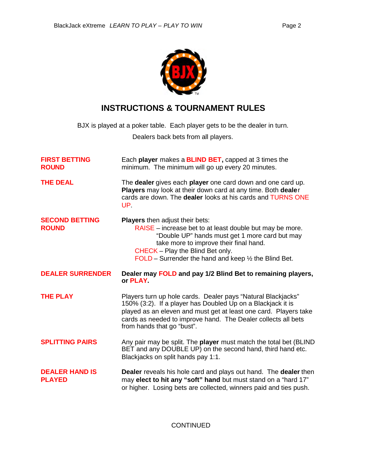

## **INSTRUCTIONS & TOURNAMENT RULES**

BJX is played at a poker table. Each player gets to be the dealer in turn.

Dealers back bets from all players.

| <b>FIRST BETTING</b><br><b>ROUND</b>   | Each player makes a <b>BLIND BET</b> , capped at 3 times the<br>minimum. The minimum will go up every 20 minutes.                                                                                                                                                                                     |  |  |
|----------------------------------------|-------------------------------------------------------------------------------------------------------------------------------------------------------------------------------------------------------------------------------------------------------------------------------------------------------|--|--|
| <b>THE DEAL</b>                        | The dealer gives each player one card down and one card up.<br>Players may look at their down card at any time. Both dealer<br>cards are down. The dealer looks at his cards and TURNS ONE<br>UP.                                                                                                     |  |  |
| <b>SECOND BETTING</b><br><b>ROUND</b>  | <b>Players</b> then adjust their bets:<br>RAISE - increase bet to at least double but may be more.<br>"Double UP" hands must get 1 more card but may<br>take more to improve their final hand.<br>CHECK - Play the Blind Bet only.<br>FOLD – Surrender the hand and keep $\frac{1}{2}$ the Blind Bet. |  |  |
| <b>DEALER SURRENDER</b>                | Dealer may FOLD and pay 1/2 Blind Bet to remaining players,<br>or PLAY                                                                                                                                                                                                                                |  |  |
| <b>THE PLAY</b>                        | Players turn up hole cards. Dealer pays "Natural Blackjacks"<br>150% (3:2). If a player has Doubled Up on a Blackjack it is<br>played as an eleven and must get at least one card. Players take<br>cards as needed to improve hand. The Dealer collects all bets<br>from hands that go "bust".        |  |  |
| <b>SPLITTING PAIRS</b>                 | Any pair may be split. The player must match the total bet (BLIND<br>BET and any DOUBLE UP) on the second hand, third hand etc.<br>Blackjacks on split hands pay 1:1.                                                                                                                                 |  |  |
| <b>DEALER HAND IS</b><br><b>PLAYED</b> | <b>Dealer</b> reveals his hole card and plays out hand. The dealer then<br>may elect to hit any "soft" hand but must stand on a "hard 17"<br>or higher. Losing bets are collected, winners paid and ties push.                                                                                        |  |  |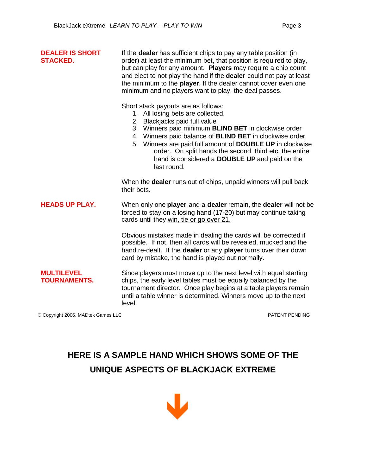| <b>DEALER IS SHORT</b><br><b>STACKED.</b> | If the <b>dealer</b> has sufficient chips to pay any table position (in<br>order) at least the minimum bet, that position is required to play,<br>but can play for any amount. Players may require a chip count<br>and elect to not play the hand if the dealer could not pay at least<br>the minimum to the player. If the dealer cannot cover even one<br>minimum and no players want to play, the deal passes.                   |  |  |
|-------------------------------------------|-------------------------------------------------------------------------------------------------------------------------------------------------------------------------------------------------------------------------------------------------------------------------------------------------------------------------------------------------------------------------------------------------------------------------------------|--|--|
|                                           | Short stack payouts are as follows:<br>1. All losing bets are collected.<br>2. Blackjacks paid full value<br>3. Winners paid minimum BLIND BET in clockwise order<br>4. Winners paid balance of <b>BLIND BET</b> in clockwise order<br>5. Winners are paid full amount of DOUBLE UP in clockwise<br>order. On split hands the second, third etc. the entire<br>hand is considered a <b>DOUBLE UP</b> and paid on the<br>last round. |  |  |
|                                           | When the <b>dealer</b> runs out of chips, unpaid winners will pull back<br>their bets.                                                                                                                                                                                                                                                                                                                                              |  |  |
| <b>HEADS UP PLAY.</b>                     | When only one player and a dealer remain, the dealer will not be<br>forced to stay on a losing hand (17-20) but may continue taking<br>cards until they win, tie or go over 21.                                                                                                                                                                                                                                                     |  |  |
|                                           | Obvious mistakes made in dealing the cards will be corrected if<br>possible. If not, then all cards will be revealed, mucked and the<br>hand re-dealt. If the dealer or any player turns over their down<br>card by mistake, the hand is played out normally.                                                                                                                                                                       |  |  |
| <b>MULTILEVEL</b><br><b>TOURNAMENTS.</b>  | Since players must move up to the next level with equal starting<br>chips, the early level tables must be equally balanced by the<br>tournament director. Once play begins at a table players remain<br>until a table winner is determined. Winners move up to the next<br>level.                                                                                                                                                   |  |  |

© Copyright 2006, MADtek Games LLC PATENT PENDING

## **HERE IS A SAMPLE HAND WHICH SHOWS SOME OF THE UNIQUE ASPECTS OF BLACKJACK EXTREME**

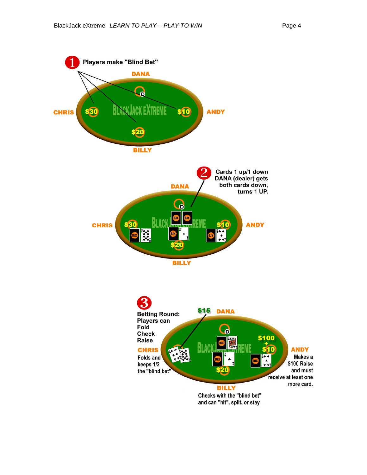**CHRIS** 



Checks with the "blind bet" and can "hit", split, or stay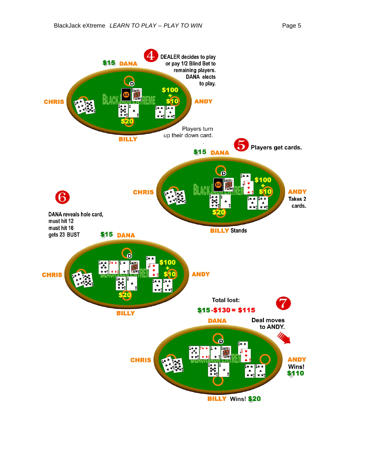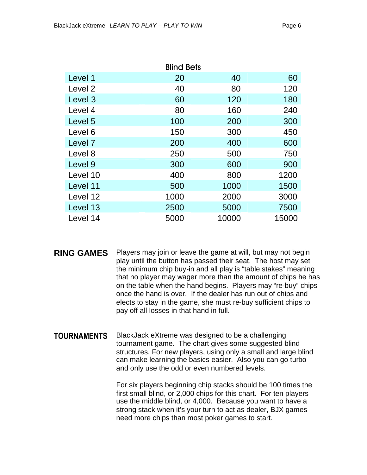|          | <b>Blind Bets</b> |       |       |
|----------|-------------------|-------|-------|
| Level 1  | 20                | 40    | 60    |
| Level 2  | 40                | 80    | 120   |
| Level 3  | 60                | 120   | 180   |
| Level 4  | 80                | 160   | 240   |
| Level 5  | 100               | 200   | 300   |
| Level 6  | 150               | 300   | 450   |
| Level 7  | 200               | 400   | 600   |
| Level 8  | 250               | 500   | 750   |
| Level 9  | 300               | 600   | 900   |
| Level 10 | 400               | 800   | 1200  |
| Level 11 | 500               | 1000  | 1500  |
| Level 12 | 1000              | 2000  | 3000  |
| Level 13 | 2500              | 5000  | 7500  |
| Level 14 | 5000              | 10000 | 15000 |

**RING GAMES** Players may join or leave the game at will, but may not begin play until the button has passed their seat. The host may set the minimum chip buy-in and all play is "table stakes" meaning that no player may wager more than the amount of chips he has on the table when the hand begins. Players may "re-buy" chips once the hand is over. If the dealer has run out of chips and elects to stay in the game, she must re-buy sufficient chips to pay off all losses in that hand in full.

**TOURNAMENTS** BlackJack eXtreme was designed to be a challenging tournament game. The chart gives some suggested blind structures. For new players, using only a small and large blind can make learning the basics easier. Also you can go turbo and only use the odd or even numbered levels.

> For six players beginning chip stacks should be 100 times the first small blind, or 2,000 chips for this chart. For ten players use the middle blind, or 4,000. Because you want to have a strong stack when it's your turn to act as dealer, BJX games need more chips than most poker games to start.